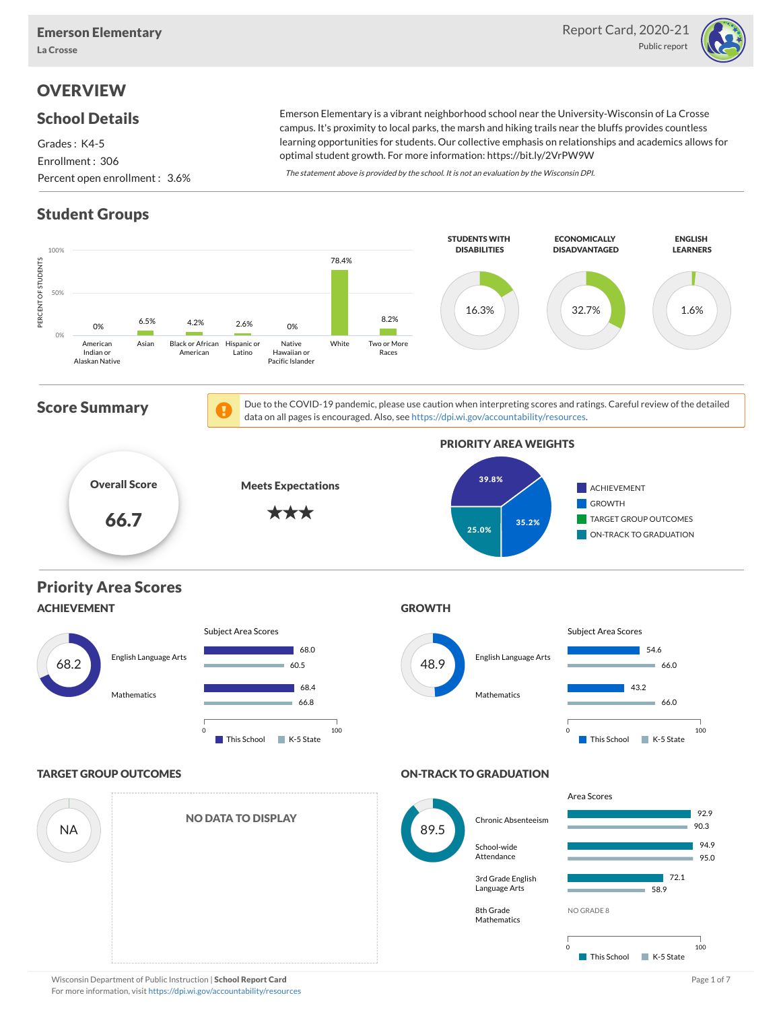

# **OVERVIEW**

### School Details

Grades : K4-5 Enrollment : 306 Percent open enrollment : 3.6%

Emerson Elementary is a vibrant neighborhood school near the University-Wisconsin of La Crosse campus. It's proximity to local parks, the marsh and hiking trails near the bluffs provides countless learning opportunities for students. Our collective emphasis on relationships and academics allows for optimal student growth. For more information: https://bit.ly/2VrPW9W

The statement above is provided by the school. It is not an evaluation by the Wisconsin DPI.

# Student Groups

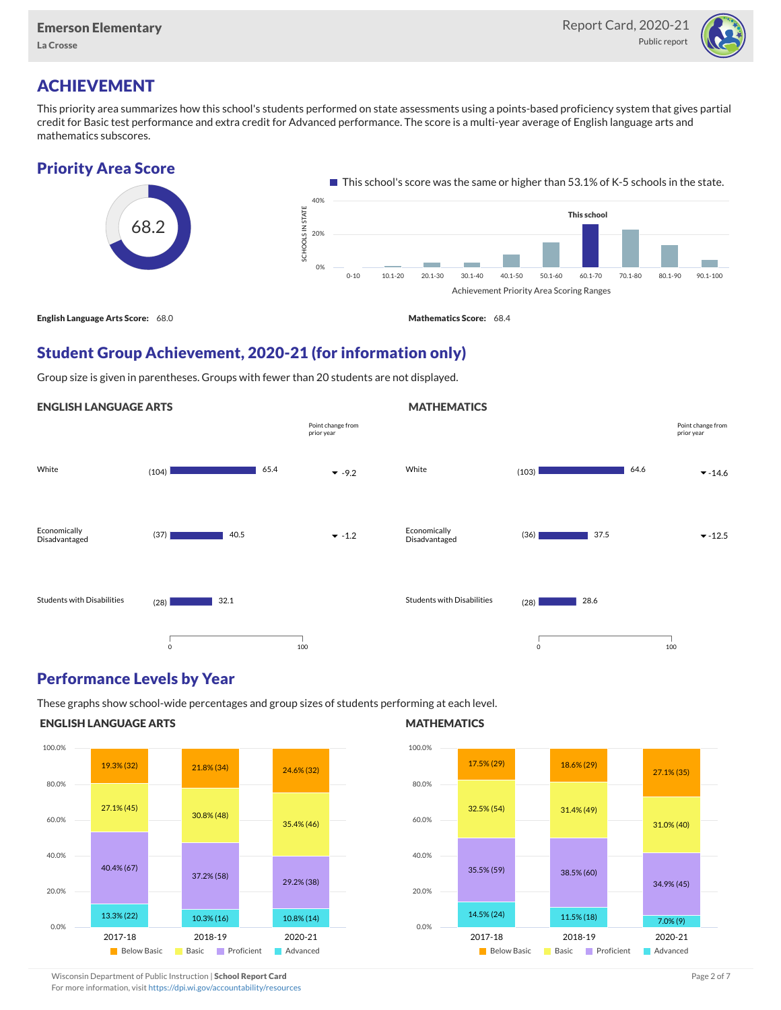La Crosse



# ACHIEVEMENT

This priority area summarizes how this school's students performed on state assessments using a points-based proficiency system that gives partial credit for Basic test performance and extra credit for Advanced performance. The score is a multi-year average of English language arts and mathematics subscores.

### Priority Area Score



### Student Group Achievement, 2020-21 (for information only)

Group size is given in parentheses. Groups with fewer than 20 students are not displayed.

#### ENGLISH LANGUAGE ARTS



### Performance Levels by Year

These graphs show school-wide percentages and group sizes of students performing at each level.

### ENGLISH LANGUAGE ARTS



#### **MATHEMATICS**

**MATHEMATICS** 



Wisconsin Department of Public Instruction | School Report Card Page 2 of 7 and 2008 and 2009 and 2 of 7 and 2 of 7

For more information, visit <https://dpi.wi.gov/accountability/resources>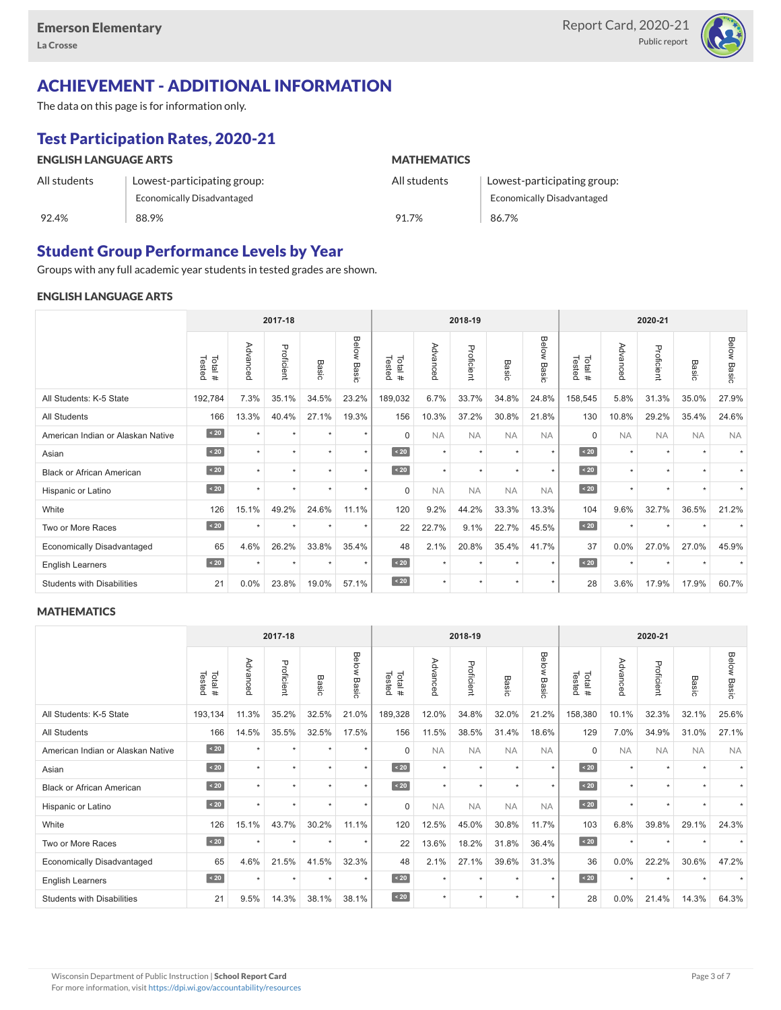

# ACHIEVEMENT - ADDITIONAL INFORMATION

The data on this page is for information only.

# Test Participation Rates, 2020-21

| <b>ENGLISH LANGUAGE ARTS</b> |                             | <b>MATHEMATICS</b> |                             |  |  |  |  |  |
|------------------------------|-----------------------------|--------------------|-----------------------------|--|--|--|--|--|
| All students                 | Lowest-participating group: | All students       | Lowest-participating group: |  |  |  |  |  |
|                              | Economically Disadvantaged  |                    | Economically Disadvantaged  |  |  |  |  |  |
| 92.4%                        | 88.9%                       | 91.7%              | 86.7%                       |  |  |  |  |  |

### Student Group Performance Levels by Year

Groups with any full academic year students in tested grades are shown.

#### ENGLISH LANGUAGE ARTS

|                                   | 2017-18          |          |            |         |                    |                  | 2018-19   |            |           |                | 2020-21          |           |            |                      |                    |
|-----------------------------------|------------------|----------|------------|---------|--------------------|------------------|-----------|------------|-----------|----------------|------------------|-----------|------------|----------------------|--------------------|
|                                   | Total#<br>Tested | Advanced | Proficient | Basic   | <b>Below Basic</b> | Tested<br>Total# | Advanced  | Proficient | Basic     | Below<br>Basic | Tested<br>Total# | Advanced  | Proficient | Basic                | <b>Below Basic</b> |
| All Students: K-5 State           | 192,784          | 7.3%     | 35.1%      | 34.5%   | 23.2%              | 189,032          | 6.7%      | 33.7%      | 34.8%     | 24.8%          | 158,545          | 5.8%      | 31.3%      | 35.0%                | 27.9%              |
| <b>All Students</b>               | 166              | 13.3%    | 40.4%      | 27.1%   | 19.3%              | 156              | 10.3%     | 37.2%      | 30.8%     | 21.8%          | 130              | 10.8%     | 29.2%      | 35.4%                | 24.6%              |
| American Indian or Alaskan Native | $\angle 20$      | $\star$  | $\star$    | ٠       | $\star$            | $\Omega$         | <b>NA</b> | <b>NA</b>  | <b>NA</b> | <b>NA</b>      | $\Omega$         | <b>NA</b> | <b>NA</b>  | <b>NA</b>            | <b>NA</b>          |
| Asian                             | $\sim 20$        | $\star$  | $\star$    | ٠       | $\star$            | $\sim 20$        | $\star$   | $\star$    | $\star$   | $\star$        | $\sim 20$        | $\star$   | $\star$    | $\ddot{}$            |                    |
| <b>Black or African American</b>  | $\sim 20$        |          | $\star$    |         | $\star$            | $\angle 20$      | $\star$   | $\star$    | $\star$   | $\star$        | $\sim 20$        | $\star$   | $\star$    |                      |                    |
| Hispanic or Latino                | $\angle 20$      | $\star$  | $\star$    | ٠       | $\star$            | $\mathbf 0$      | <b>NA</b> | <b>NA</b>  | <b>NA</b> | <b>NA</b>      | $\sim 20$        | $\star$   | $\star$    | $\ddot{\phantom{1}}$ |                    |
| White                             | 126              | 15.1%    | 49.2%      | 24.6%   | 11.1%              | 120              | 9.2%      | 44.2%      | 33.3%     | 13.3%          | 104              | 9.6%      | 32.7%      | 36.5%                | 21.2%              |
| Two or More Races                 | $\sim 20$        |          | $\star$    | $\star$ | $\star$            | 22               | 22.7%     | 9.1%       | 22.7%     | 45.5%          | $\angle 20$      | $\star$   | $\star$    |                      |                    |
| <b>Economically Disadvantaged</b> | 65               | 4.6%     | 26.2%      | 33.8%   | 35.4%              | 48               | 2.1%      | 20.8%      | 35.4%     | 41.7%          | 37               | 0.0%      | 27.0%      | 27.0%                | 45.9%              |
| <b>English Learners</b>           | $\sim 20$        | $\star$  | $\star$    | $\star$ | $\star$            | $\sim 20$        | $\star$   | $\star$    | $\star$   | $\star$        | $\sim 20$        | $\star$   | $\star$    |                      |                    |
| <b>Students with Disabilities</b> | 21               | $0.0\%$  | 23.8%      | 19.0%   | 57.1%              | $\sim 20$        | $\star$   | $\star$    | $\star$   | $\star$        | 28               | 3.6%      | 17.9%      | 17.9%                | 60.7%              |

#### **MATHEMATICS**

|                                   | 2017-18           |           |            |         |                |                  | 2018-19   |            |                      | 2020-21        |                  |           |            |           |                |
|-----------------------------------|-------------------|-----------|------------|---------|----------------|------------------|-----------|------------|----------------------|----------------|------------------|-----------|------------|-----------|----------------|
|                                   | Total #<br>Tested | Advanced  | Proficient | Basic   | Below<br>Basic | Tested<br>Total# | Advanced  | Proficient | Basic                | Below<br>Basic | Tested<br>Total# | Advanced  | Proficient | Basic     | Below<br>Basic |
| All Students: K-5 State           | 193,134           | 11.3%     | 35.2%      | 32.5%   | 21.0%          | 189,328          | 12.0%     | 34.8%      | 32.0%                | 21.2%          | 158,380          | 10.1%     | 32.3%      | 32.1%     | 25.6%          |
| <b>All Students</b>               | 166               | 14.5%     | 35.5%      | 32.5%   | 17.5%          | 156              | 11.5%     | 38.5%      | 31.4%                | 18.6%          | 129              | 7.0%      | 34.9%      | 31.0%     | 27.1%          |
| American Indian or Alaskan Native | $\angle 20$       | $\star$   | $\star$    | 大       | $\star$        | $\Omega$         | <b>NA</b> | <b>NA</b>  | <b>NA</b>            | <b>NA</b>      | $\Omega$         | <b>NA</b> | <b>NA</b>  | <b>NA</b> | <b>NA</b>      |
| Asian                             | $\sim 20$         | $\ddot{}$ | ٠          | ٠       | $\star$        | $\leq 20$        | $\star$   | $\star$    | $\star$              | $\star$        | $\sim 20$        | $\star$   | $\star$    |           |                |
| <b>Black or African American</b>  | $\angle 20$       |           | $\star$    | ٠       | $\star$        | $\angle 20$      | $\star$   | $\star$    | $\ddot{\phantom{1}}$ | $\star$        | $\angle 20$      | $\star$   | $\star$    |           |                |
| Hispanic or Latino                | $\angle 20$       |           | $\star$    | $\star$ | $\star$        | $\mathbf 0$      | <b>NA</b> | <b>NA</b>  | <b>NA</b>            | <b>NA</b>      | $\angle 20$      | $\star$   | $\star$    |           |                |
| White                             | 126               | 15.1%     | 43.7%      | 30.2%   | 11.1%          | 120              | 12.5%     | 45.0%      | 30.8%                | 11.7%          | 103              | 6.8%      | 39.8%      | 29.1%     | 24.3%          |
| Two or More Races                 | $\sim 20$         | $\ddot{}$ | $\star$    | $\star$ | $\star$        | 22               | 13.6%     | 18.2%      | 31.8%                | 36.4%          | $\sim 20$        | $\star$   | $\star$    |           |                |
| <b>Economically Disadvantaged</b> | 65                | 4.6%      | 21.5%      | 41.5%   | 32.3%          | 48               | 2.1%      | 27.1%      | 39.6%                | 31.3%          | 36               | 0.0%      | 22.2%      | 30.6%     | 47.2%          |
| English Learners                  | $\sim 20$         | $\star$   | $\star$    | $\star$ | $\star$        | $\angle 20$      | $\star$   | $\star$    | $\star$              | $\star$        | $\angle 20$      | $\star$   | $\star$    |           |                |
| <b>Students with Disabilities</b> | 21                | 9.5%      | 14.3%      | 38.1%   | 38.1%          | $\sim 20$        | $\star$   | $\star$    | $\ddot{\phantom{1}}$ | $\star$        | 28               | 0.0%      | 21.4%      | 14.3%     | 64.3%          |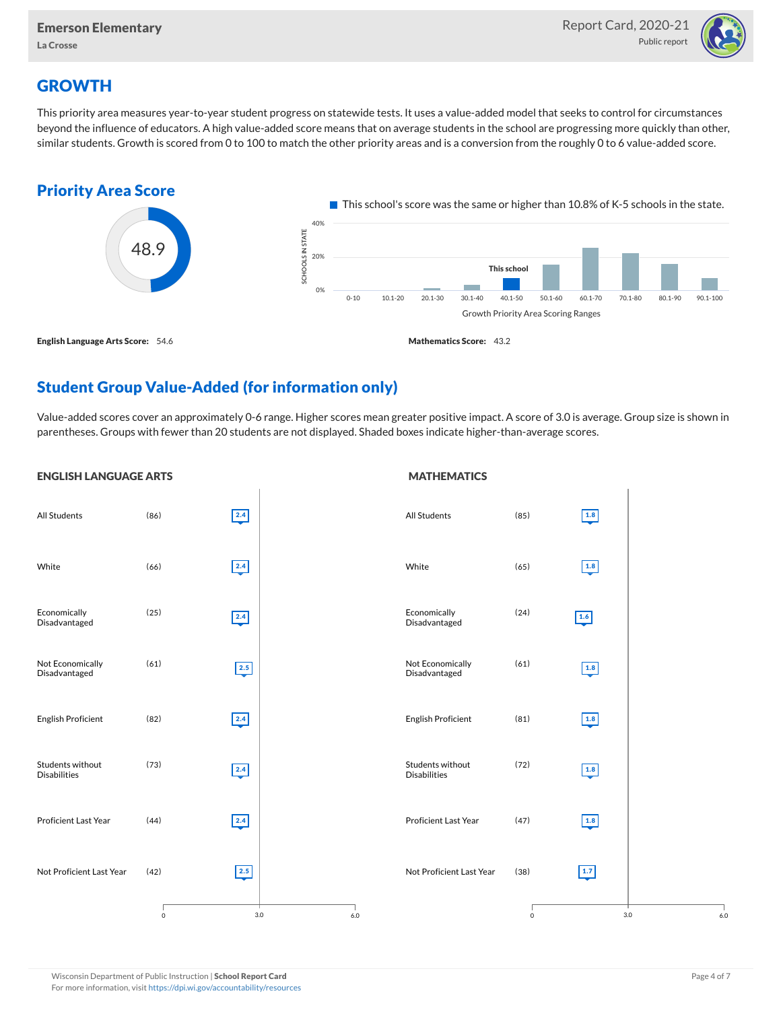

# **GROWTH**

This priority area measures year-to-year student progress on statewide tests. It uses a value-added model that seeks to control for circumstances beyond the influence of educators. A high value-added score means that on average students in the school are progressing more quickly than other, similar students. Growth is scored from 0 to 100 to match the other priority areas and is a conversion from the roughly 0 to 6 value-added score.



# Student Group Value-Added (for information only)

Value-added scores cover an approximately 0-6 range. Higher scores mean greater positive impact. A score of 3.0 is average. Group size is shown in parentheses. Groups with fewer than 20 students are not displayed. Shaded boxes indicate higher-than-average scores.

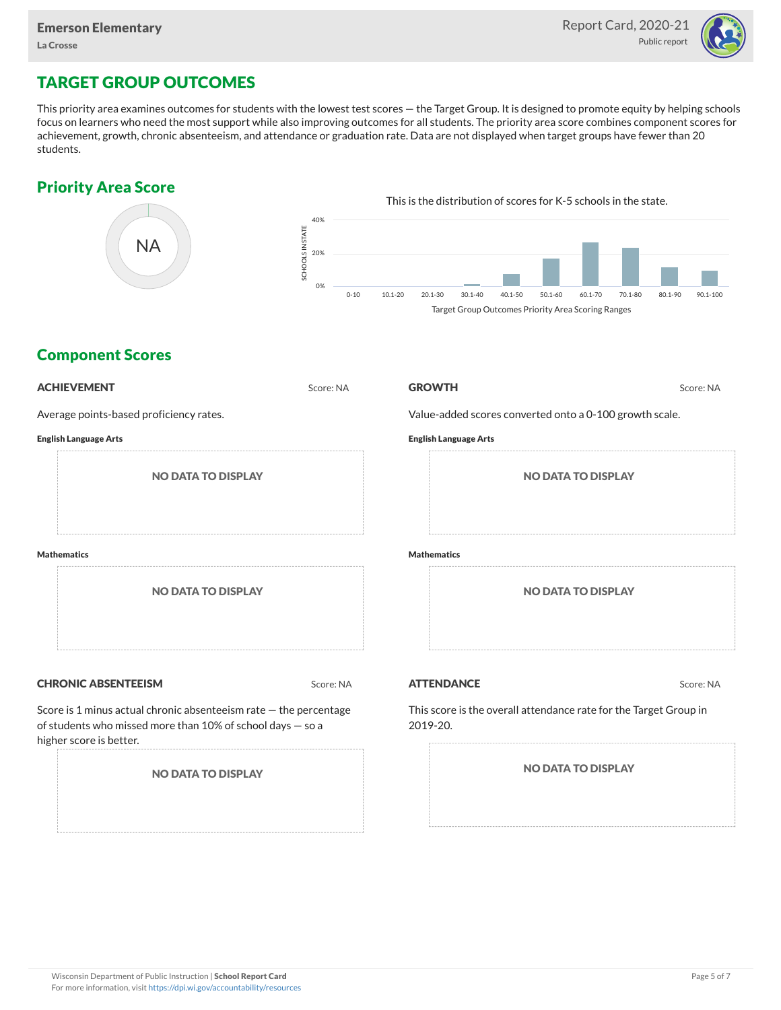

# TARGET GROUP OUTCOMES

This priority area examines outcomes for students with the lowest test scores — the Target Group. It is designed to promote equity by helping schools focus on learners who need the most support while also improving outcomes for all students. The priority area score combines component scores for achievement, growth, chronic absenteeism, and attendance or graduation rate. Data are not displayed when target groups have fewer than 20 students.

### Priority Area Score



### Component Scores

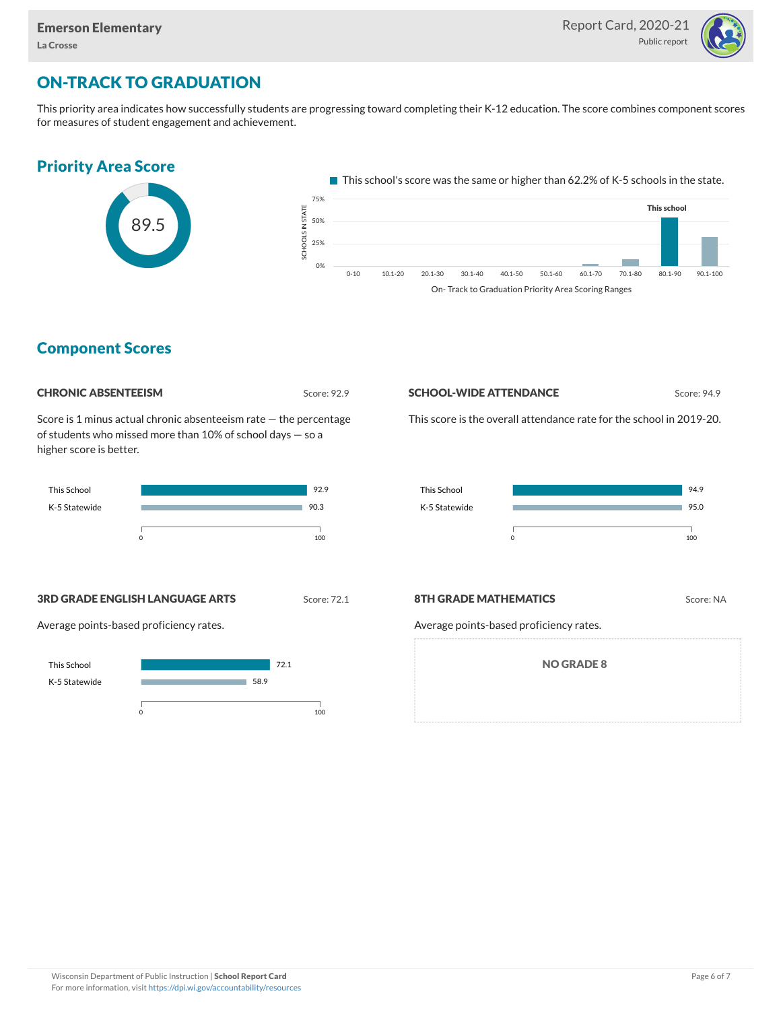

# ON-TRACK TO GRADUATION

This priority area indicates how successfully students are progressing toward completing their K-12 education. The score combines component scores for measures of student engagement and achievement.

#### Priority Area Score  $\blacksquare$  This school's score was the same or higher than 62.2% of K-5 schools in the state. 75% This school OLS IN STATE<br>,<br>, 89.5 50% 25% e<br>Sc **College**  $0<sup>0</sup>$ 0-10 10.1-20 20.1-30 30.1-40 40.1-50 50.1-60 60.1-70 70.1-80 80.1-90 90.1-100 On- Track to Graduation Priority Area Scoring Ranges

### Component Scores



Score is 1 minus actual chronic absenteeism rate — the percentage of students who missed more than 10% of school days — so a higher score is better.



**SCHOOL-WIDE ATTENDANCE** Score: 94.9

This score is the overall attendance rate for the school in 2019-20.



**3RD GRADE ENGLISH LANGUAGE ARTS** Score: 72.1

Average points-based proficiency rates.



#### **8TH GRADE MATHEMATICS** Score: NA

Average points-based proficiency rates.

NO GRADE 8